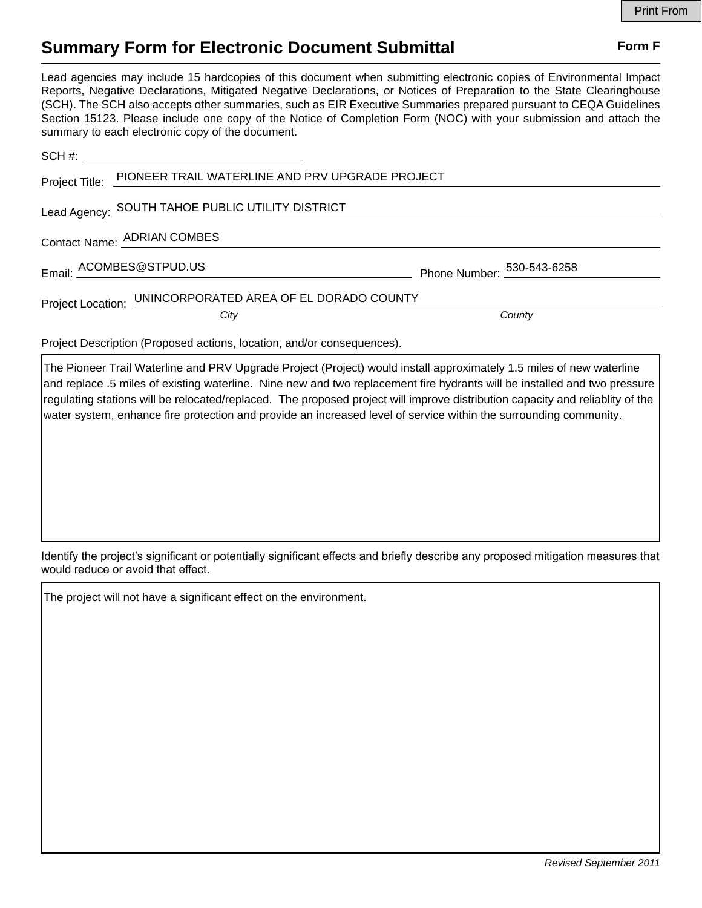## **Summary Form for Electronic Document Submittal Form F Form F**

Lead agencies may include 15 hardcopies of this document when submitting electronic copies of Environmental Impact Reports, Negative Declarations, Mitigated Negative Declarations, or Notices of Preparation to the State Clearinghouse (SCH). The SCH also accepts other summaries, such as EIR Executive Summaries prepared pursuant to CEQA Guidelines Section 15123. Please include one copy of the Notice of Completion Form (NOC) with your submission and attach the summary to each electronic copy of the document.

|                                                                        | Project Title: PIONEER TRAIL WATERLINE AND PRV UPGRADE PROJECT |                            |
|------------------------------------------------------------------------|----------------------------------------------------------------|----------------------------|
| Lead Agency: SOUTH TAHOE PUBLIC UTILITY DISTRICT                       |                                                                |                            |
| Contact Name: ADRIAN COMBES                                            |                                                                |                            |
|                                                                        | Email: ACOMBES@STPUD.US                                        | Phone Number: 530-543-6258 |
| Project Location: UNINCORPORATED AREA OF EL DORADO COUNTY              |                                                                |                            |
|                                                                        | City                                                           | County                     |
| Project Description (Proposed actions, location, and/or consequences). |                                                                |                            |

The Pioneer Trail Waterline and PRV Upgrade Project (Project) would install approximately 1.5 miles of new waterline and replace .5 miles of existing waterline. Nine new and two replacement fire hydrants will be installed and two pressure regulating stations will be relocated/replaced. The proposed project will improve distribution capacity and reliablity of the water system, enhance fire protection and provide an increased level of service within the surrounding community.

Identify the project's significant or potentially significant effects and briefly describe any proposed mitigation measures that would reduce or avoid that effect.

The project will not have a significant effect on the environment.